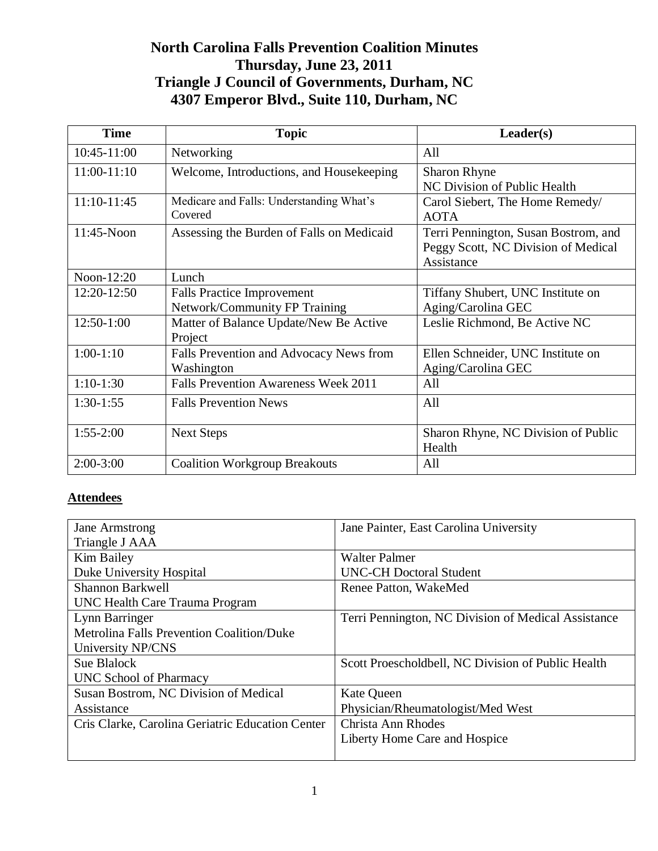# **North Carolina Falls Prevention Coalition Minutes Thursday, June 23, 2011 Triangle J Council of Governments, Durham, NC 4307 Emperor Blvd., Suite 110, Durham, NC**

| <b>Time</b>   | <b>Topic</b>                                                       | Leader(s)                                                                                 |
|---------------|--------------------------------------------------------------------|-------------------------------------------------------------------------------------------|
| 10:45-11:00   | Networking                                                         | All                                                                                       |
| 11:00-11:10   | Welcome, Introductions, and Housekeeping                           | <b>Sharon Rhyne</b><br>NC Division of Public Health                                       |
| 11:10-11:45   | Medicare and Falls: Understanding What's<br>Covered                | Carol Siebert, The Home Remedy/<br><b>AOTA</b>                                            |
| $11:45-N$ oon | Assessing the Burden of Falls on Medicaid                          | Terri Pennington, Susan Bostrom, and<br>Peggy Scott, NC Division of Medical<br>Assistance |
| Noon-12:20    | Lunch                                                              |                                                                                           |
| 12:20-12:50   | <b>Falls Practice Improvement</b><br>Network/Community FP Training | Tiffany Shubert, UNC Institute on<br>Aging/Carolina GEC                                   |
| 12:50-1:00    | Matter of Balance Update/New Be Active<br>Project                  | Leslie Richmond, Be Active NC                                                             |
| $1:00-1:10$   | Falls Prevention and Advocacy News from<br>Washington              | Ellen Schneider, UNC Institute on<br>Aging/Carolina GEC                                   |
| $1:10-1:30$   | <b>Falls Prevention Awareness Week 2011</b>                        | All                                                                                       |
| $1:30-1:55$   | <b>Falls Prevention News</b>                                       | All                                                                                       |
| $1:55-2:00$   | <b>Next Steps</b>                                                  | Sharon Rhyne, NC Division of Public<br>Health                                             |
| $2:00-3:00$   | <b>Coalition Workgroup Breakouts</b>                               | All                                                                                       |

## **Attendees**

| <b>Jane Armstrong</b>                            | Jane Painter, East Carolina University              |
|--------------------------------------------------|-----------------------------------------------------|
| Triangle J AAA                                   |                                                     |
| Kim Bailey                                       | <b>Walter Palmer</b>                                |
| Duke University Hospital                         | <b>UNC-CH Doctoral Student</b>                      |
| Shannon Barkwell                                 | Renee Patton, WakeMed                               |
| <b>UNC Health Care Trauma Program</b>            |                                                     |
| Lynn Barringer                                   | Terri Pennington, NC Division of Medical Assistance |
| <b>Metrolina Falls Prevention Coalition/Duke</b> |                                                     |
| University NP/CNS                                |                                                     |
| Sue Blalock                                      | Scott Proescholdbell, NC Division of Public Health  |
| UNC School of Pharmacy                           |                                                     |
| Susan Bostrom, NC Division of Medical            | <b>Kate Queen</b>                                   |
| Assistance                                       | Physician/Rheumatologist/Med West                   |
| Cris Clarke, Carolina Geriatric Education Center | Christa Ann Rhodes                                  |
|                                                  | Liberty Home Care and Hospice                       |
|                                                  |                                                     |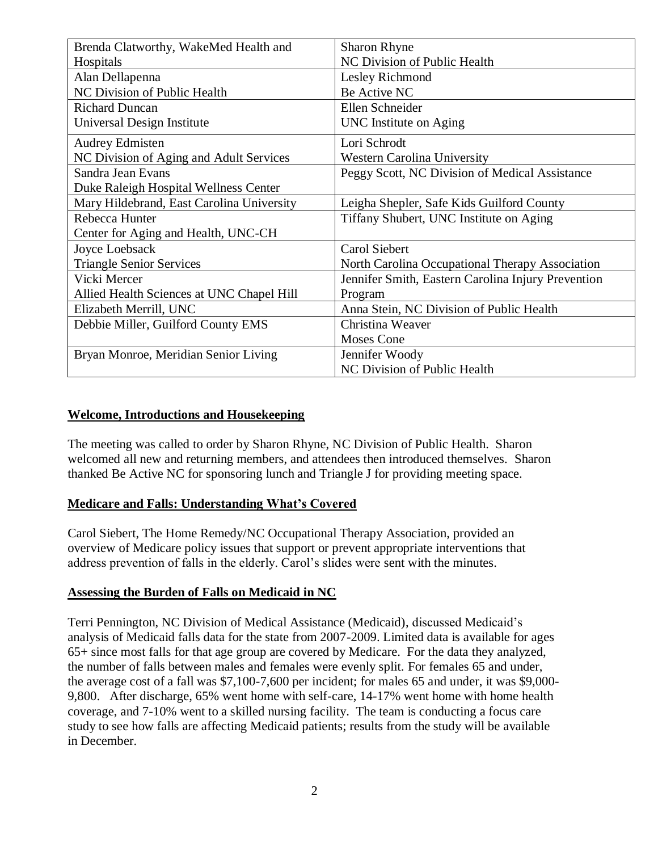| Brenda Clatworthy, WakeMed Health and     | <b>Sharon Rhyne</b>                                |  |
|-------------------------------------------|----------------------------------------------------|--|
| Hospitals                                 | NC Division of Public Health                       |  |
| Alan Dellapenna                           | Lesley Richmond                                    |  |
| NC Division of Public Health              | Be Active NC                                       |  |
| <b>Richard Duncan</b>                     | Ellen Schneider                                    |  |
| Universal Design Institute                | UNC Institute on Aging                             |  |
| <b>Audrey Edmisten</b>                    | Lori Schrodt                                       |  |
| NC Division of Aging and Adult Services   | <b>Western Carolina University</b>                 |  |
| Sandra Jean Evans                         | Peggy Scott, NC Division of Medical Assistance     |  |
| Duke Raleigh Hospital Wellness Center     |                                                    |  |
| Mary Hildebrand, East Carolina University | Leigha Shepler, Safe Kids Guilford County          |  |
| Rebecca Hunter                            | Tiffany Shubert, UNC Institute on Aging            |  |
| Center for Aging and Health, UNC-CH       |                                                    |  |
| Joyce Loebsack                            | Carol Siebert                                      |  |
| <b>Triangle Senior Services</b>           | North Carolina Occupational Therapy Association    |  |
| Vicki Mercer                              | Jennifer Smith, Eastern Carolina Injury Prevention |  |
| Allied Health Sciences at UNC Chapel Hill | Program                                            |  |
| Elizabeth Merrill, UNC                    | Anna Stein, NC Division of Public Health           |  |
| Debbie Miller, Guilford County EMS        | Christina Weaver                                   |  |
|                                           | <b>Moses Cone</b>                                  |  |
| Bryan Monroe, Meridian Senior Living      | Jennifer Woody                                     |  |
|                                           | NC Division of Public Health                       |  |

#### **Welcome, Introductions and Housekeeping**

The meeting was called to order by Sharon Rhyne, NC Division of Public Health. Sharon welcomed all new and returning members, and attendees then introduced themselves. Sharon thanked Be Active NC for sponsoring lunch and Triangle J for providing meeting space.

## **Medicare and Falls: Understanding What's Covered**

Carol Siebert, The Home Remedy/NC Occupational Therapy Association, provided an overview of Medicare policy issues that support or prevent appropriate interventions that address prevention of falls in the elderly. Carol's slides were sent with the minutes.

#### **Assessing the Burden of Falls on Medicaid in NC**

Terri Pennington, NC Division of Medical Assistance (Medicaid), discussed Medicaid's analysis of Medicaid falls data for the state from 2007-2009. Limited data is available for ages 65+ since most falls for that age group are covered by Medicare. For the data they analyzed, the number of falls between males and females were evenly split. For females 65 and under, the average cost of a fall was \$7,100-7,600 per incident; for males 65 and under, it was \$9,000- 9,800. After discharge, 65% went home with self-care, 14-17% went home with home health coverage, and 7-10% went to a skilled nursing facility. The team is conducting a focus care study to see how falls are affecting Medicaid patients; results from the study will be available in December.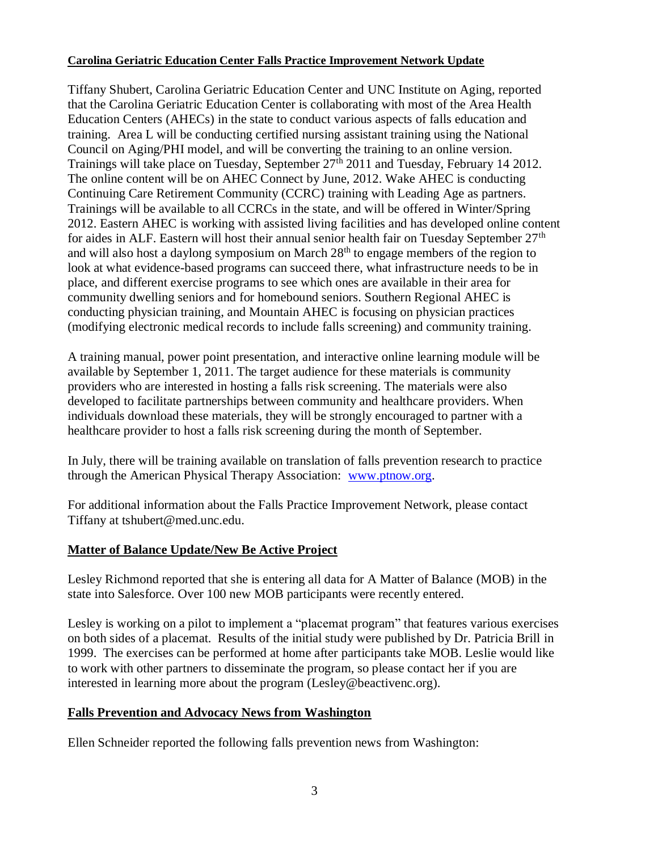#### **Carolina Geriatric Education Center Falls Practice Improvement Network Update**

Tiffany Shubert, Carolina Geriatric Education Center and UNC Institute on Aging, reported that the Carolina Geriatric Education Center is collaborating with most of the Area Health Education Centers (AHECs) in the state to conduct various aspects of falls education and training. Area L will be conducting certified nursing assistant training using the National Council on Aging/PHI model, and will be converting the training to an online version. Trainings will take place on Tuesday, September 27<sup>th</sup> 2011 and Tuesday, February 14 2012. The online content will be on AHEC Connect by June, 2012. Wake AHEC is conducting Continuing Care Retirement Community (CCRC) training with Leading Age as partners. Trainings will be available to all CCRCs in the state, and will be offered in Winter/Spring 2012. Eastern AHEC is working with assisted living facilities and has developed online content for aides in ALF. Eastern will host their annual senior health fair on Tuesday September  $27<sup>th</sup>$ and will also host a daylong symposium on March  $28<sup>th</sup>$  to engage members of the region to look at what evidence-based programs can succeed there, what infrastructure needs to be in place, and different exercise programs to see which ones are available in their area for community dwelling seniors and for homebound seniors. Southern Regional AHEC is conducting physician training, and Mountain AHEC is focusing on physician practices (modifying electronic medical records to include falls screening) and community training.

A training manual, power point presentation, and interactive online learning module will be available by September 1, 2011. The target audience for these materials is community providers who are interested in hosting a falls risk screening. The materials were also developed to facilitate partnerships between community and healthcare providers. When individuals download these materials, they will be strongly encouraged to partner with a healthcare provider to host a falls risk screening during the month of September.

In July, there will be training available on translation of falls prevention research to practice through the American Physical Therapy Association: [www.ptnow.org.](http://www.ptnow.org/)

For additional information about the Falls Practice Improvement Network, please contact Tiffany at tshubert@med.unc.edu.

## **Matter of Balance Update/New Be Active Project**

Lesley Richmond reported that she is entering all data for A Matter of Balance (MOB) in the state into Salesforce. Over 100 new MOB participants were recently entered.

Lesley is working on a pilot to implement a "placemat program" that features various exercises on both sides of a placemat. Results of the initial study were published by Dr. Patricia Brill in 1999. The exercises can be performed at home after participants take MOB. Leslie would like to work with other partners to disseminate the program, so please contact her if you are interested in learning more about the program (Lesley@beactivenc.org).

## **Falls Prevention and Advocacy News from Washington**

Ellen Schneider reported the following falls prevention news from Washington: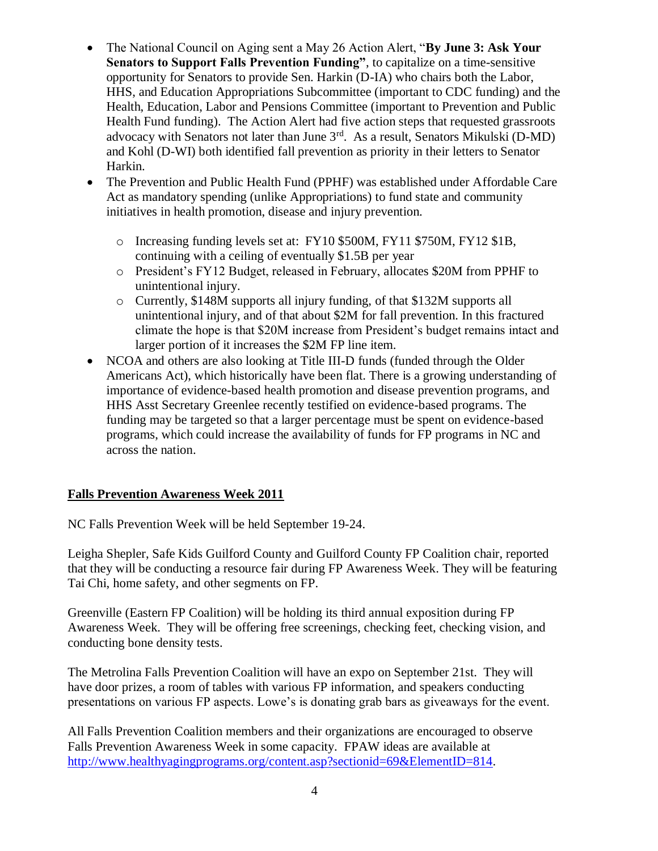- The National Council on Aging sent a May 26 Action Alert, "**By June 3: Ask Your Senators to Support Falls Prevention Funding"**, to capitalize on a time-sensitive opportunity for Senators to provide Sen. Harkin (D-IA) who chairs both the Labor, HHS, and Education Appropriations Subcommittee (important to CDC funding) and the Health, Education, Labor and Pensions Committee (important to Prevention and Public Health Fund funding). The Action Alert had five action steps that requested grassroots advocacy with Senators not later than June 3<sup>rd</sup>. As a result, Senators Mikulski (D-MD) and Kohl (D-WI) both identified fall prevention as priority in their letters to Senator Harkin.
- The Prevention and Public Health Fund (PPHF) was established under Affordable Care Act as mandatory spending (unlike Appropriations) to fund state and community initiatives in health promotion, disease and injury prevention.
	- o Increasing funding levels set at: FY10 \$500M, FY11 \$750M, FY12 \$1B, continuing with a ceiling of eventually \$1.5B per year
	- o President's FY12 Budget, released in February, allocates \$20M from PPHF to unintentional injury.
	- o Currently, \$148M supports all injury funding, of that \$132M supports all unintentional injury, and of that about \$2M for fall prevention. In this fractured climate the hope is that \$20M increase from President's budget remains intact and larger portion of it increases the \$2M FP line item.
- NCOA and others are also looking at Title III-D funds (funded through the Older Americans Act), which historically have been flat. There is a growing understanding of importance of evidence-based health promotion and disease prevention programs, and HHS Asst Secretary Greenlee recently testified on evidence-based programs. The funding may be targeted so that a larger percentage must be spent on evidence-based programs, which could increase the availability of funds for FP programs in NC and across the nation.

## **Falls Prevention Awareness Week 2011**

NC Falls Prevention Week will be held September 19-24.

Leigha Shepler, Safe Kids Guilford County and Guilford County FP Coalition chair, reported that they will be conducting a resource fair during FP Awareness Week. They will be featuring Tai Chi, home safety, and other segments on FP.

Greenville (Eastern FP Coalition) will be holding its third annual exposition during FP Awareness Week. They will be offering free screenings, checking feet, checking vision, and conducting bone density tests.

The Metrolina Falls Prevention Coalition will have an expo on September 21st. They will have door prizes, a room of tables with various FP information, and speakers conducting presentations on various FP aspects. Lowe's is donating grab bars as giveaways for the event.

All Falls Prevention Coalition members and their organizations are encouraged to observe Falls Prevention Awareness Week in some capacity. FPAW ideas are available at [http://www.healthyagingprograms.org/content.asp?sectionid=69&ElementID=814.](http://www.healthyagingprograms.org/content.asp?sectionid=69&ElementID=814)